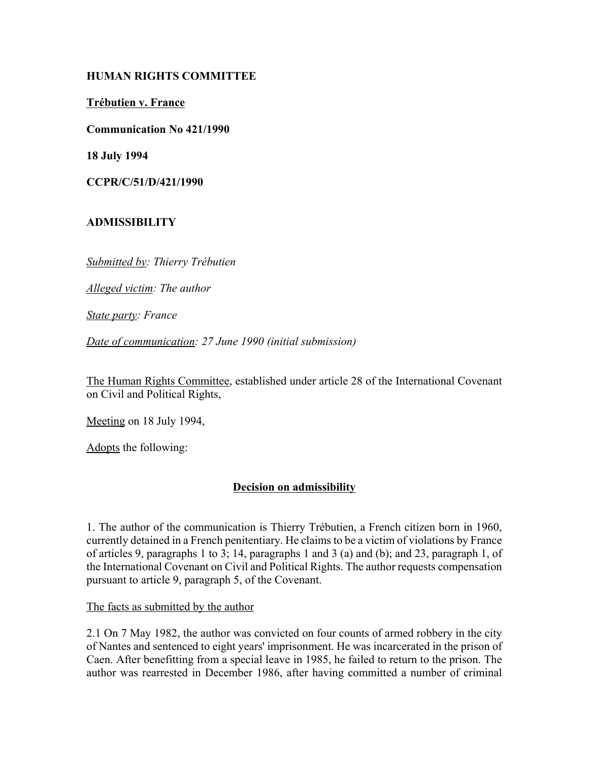# **HUMAN RIGHTS COMMITTEE**

**TrÈbutien v. France**

**Communication No 421/1990**

**18 July 1994**

**CCPR/C/51/D/421/1990**

# **ADMISSIBILITY**

*Submitted by: Thierry TrÈbutien* 

*Alleged victim: The author* 

*State party: France* 

*Date of communication: 27 June 1990 (initial submission)* 

The Human Rights Committee, established under article 28 of the International Covenant on Civil and Political Rights,

Meeting on 18 July 1994,

Adopts the following:

# **Decision on admissibility**

1. The author of the communication is Thierry Trébutien, a French citizen born in 1960, currently detained in a French penitentiary. He claims to be a victim of violations by France of articles 9, paragraphs 1 to 3; 14, paragraphs 1 and 3 (a) and (b); and 23, paragraph 1, of the International Covenant on Civil and Political Rights. The author requests compensation pursuant to article 9, paragraph 5, of the Covenant.

The facts as submitted by the author

2.1 On 7 May 1982, the author was convicted on four counts of armed robbery in the city of Nantes and sentenced to eight years' imprisonment. He was incarcerated in the prison of Caen. After benefitting from a special leave in 1985, he failed to return to the prison. The author was rearrested in December 1986, after having committed a number of criminal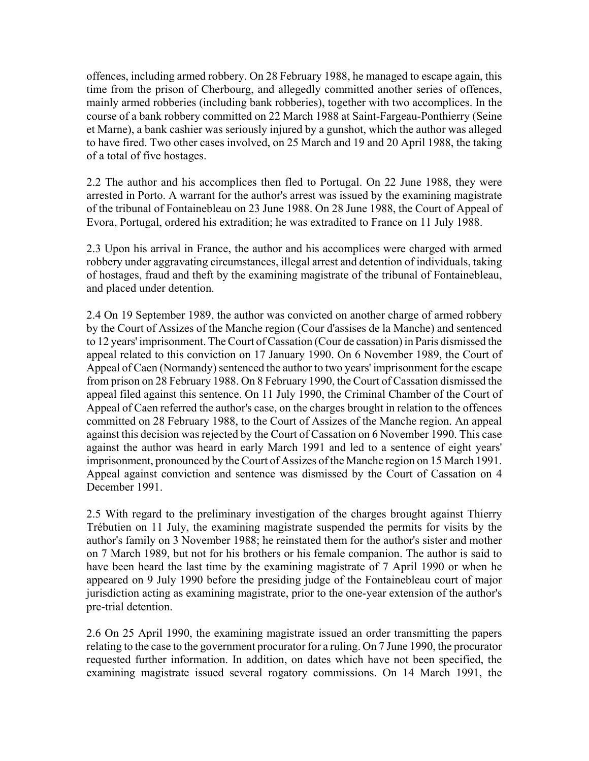offences, including armed robbery. On 28 February 1988, he managed to escape again, this time from the prison of Cherbourg, and allegedly committed another series of offences, mainly armed robberies (including bank robberies), together with two accomplices. In the course of a bank robbery committed on 22 March 1988 at Saint-Fargeau-Ponthierry (Seine et Marne), a bank cashier was seriously injured by a gunshot, which the author was alleged to have fired. Two other cases involved, on 25 March and 19 and 20 April 1988, the taking of a total of five hostages.

2.2 The author and his accomplices then fled to Portugal. On 22 June 1988, they were arrested in Porto. A warrant for the author's arrest was issued by the examining magistrate of the tribunal of Fontainebleau on 23 June 1988. On 28 June 1988, the Court of Appeal of Evora, Portugal, ordered his extradition; he was extradited to France on 11 July 1988.

2.3 Upon his arrival in France, the author and his accomplices were charged with armed robbery under aggravating circumstances, illegal arrest and detention of individuals, taking of hostages, fraud and theft by the examining magistrate of the tribunal of Fontainebleau, and placed under detention.

2.4 On 19 September 1989, the author was convicted on another charge of armed robbery by the Court of Assizes of the Manche region (Cour d'assises de la Manche) and sentenced to 12 years' imprisonment. The Court of Cassation (Cour de cassation) in Paris dismissed the appeal related to this conviction on 17 January 1990. On 6 November 1989, the Court of Appeal of Caen (Normandy) sentenced the author to two years' imprisonment for the escape from prison on 28 February 1988. On 8 February 1990, the Court of Cassation dismissed the appeal filed against this sentence. On 11 July 1990, the Criminal Chamber of the Court of Appeal of Caen referred the author's case, on the charges brought in relation to the offences committed on 28 February 1988, to the Court of Assizes of the Manche region. An appeal against this decision was rejected by the Court of Cassation on 6 November 1990. This case against the author was heard in early March 1991 and led to a sentence of eight years' imprisonment, pronounced by the Court of Assizes of the Manche region on 15 March 1991. Appeal against conviction and sentence was dismissed by the Court of Cassation on 4 December 1991.

2.5 With regard to the preliminary investigation of the charges brought against Thierry Trébutien on 11 July, the examining magistrate suspended the permits for visits by the author's family on 3 November 1988; he reinstated them for the author's sister and mother on 7 March 1989, but not for his brothers or his female companion. The author is said to have been heard the last time by the examining magistrate of 7 April 1990 or when he appeared on 9 July 1990 before the presiding judge of the Fontainebleau court of major jurisdiction acting as examining magistrate, prior to the one-year extension of the author's pre-trial detention.

2.6 On 25 April 1990, the examining magistrate issued an order transmitting the papers relating to the case to the government procurator for a ruling. On 7 June 1990, the procurator requested further information. In addition, on dates which have not been specified, the examining magistrate issued several rogatory commissions. On 14 March 1991, the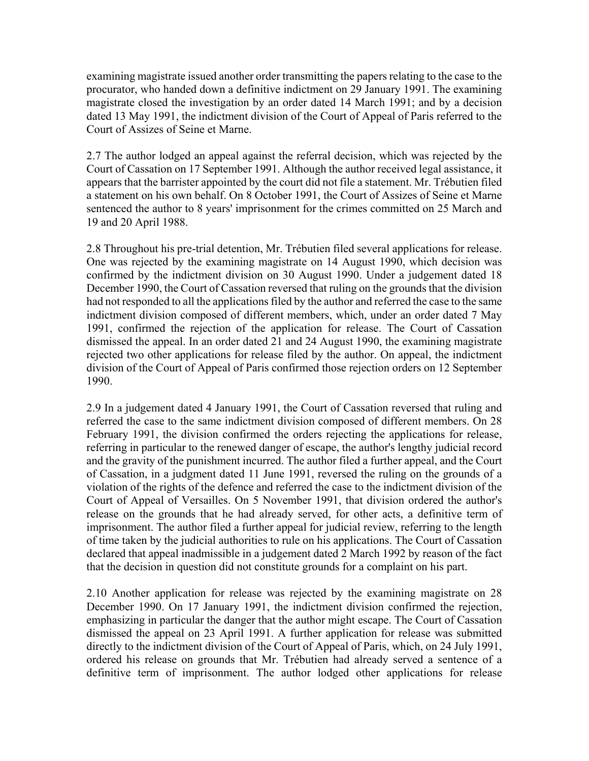examining magistrate issued another order transmitting the papers relating to the case to the procurator, who handed down a definitive indictment on 29 January 1991. The examining magistrate closed the investigation by an order dated 14 March 1991; and by a decision dated 13 May 1991, the indictment division of the Court of Appeal of Paris referred to the Court of Assizes of Seine et Marne.

2.7 The author lodged an appeal against the referral decision, which was rejected by the Court of Cassation on 17 September 1991. Although the author received legal assistance, it appears that the barrister appointed by the court did not file a statement. Mr. Trébutien filed a statement on his own behalf. On 8 October 1991, the Court of Assizes of Seine et Marne sentenced the author to 8 years' imprisonment for the crimes committed on 25 March and 19 and 20 April 1988.

2.8 Throughout his pre-trial detention, Mr. Trébutien filed several applications for release. One was rejected by the examining magistrate on 14 August 1990, which decision was confirmed by the indictment division on 30 August 1990. Under a judgement dated 18 December 1990, the Court of Cassation reversed that ruling on the grounds that the division had not responded to all the applications filed by the author and referred the case to the same indictment division composed of different members, which, under an order dated 7 May 1991, confirmed the rejection of the application for release. The Court of Cassation dismissed the appeal. In an order dated 21 and 24 August 1990, the examining magistrate rejected two other applications for release filed by the author. On appeal, the indictment division of the Court of Appeal of Paris confirmed those rejection orders on 12 September 1990.

2.9 In a judgement dated 4 January 1991, the Court of Cassation reversed that ruling and referred the case to the same indictment division composed of different members. On 28 February 1991, the division confirmed the orders rejecting the applications for release, referring in particular to the renewed danger of escape, the author's lengthy judicial record and the gravity of the punishment incurred. The author filed a further appeal, and the Court of Cassation, in a judgment dated 11 June 1991, reversed the ruling on the grounds of a violation of the rights of the defence and referred the case to the indictment division of the Court of Appeal of Versailles. On 5 November 1991, that division ordered the author's release on the grounds that he had already served, for other acts, a definitive term of imprisonment. The author filed a further appeal for judicial review, referring to the length of time taken by the judicial authorities to rule on his applications. The Court of Cassation declared that appeal inadmissible in a judgement dated 2 March 1992 by reason of the fact that the decision in question did not constitute grounds for a complaint on his part.

2.10 Another application for release was rejected by the examining magistrate on 28 December 1990. On 17 January 1991, the indictment division confirmed the rejection, emphasizing in particular the danger that the author might escape. The Court of Cassation dismissed the appeal on 23 April 1991. A further application for release was submitted directly to the indictment division of the Court of Appeal of Paris, which, on 24 July 1991, ordered his release on grounds that Mr. Trébutien had already served a sentence of a definitive term of imprisonment. The author lodged other applications for release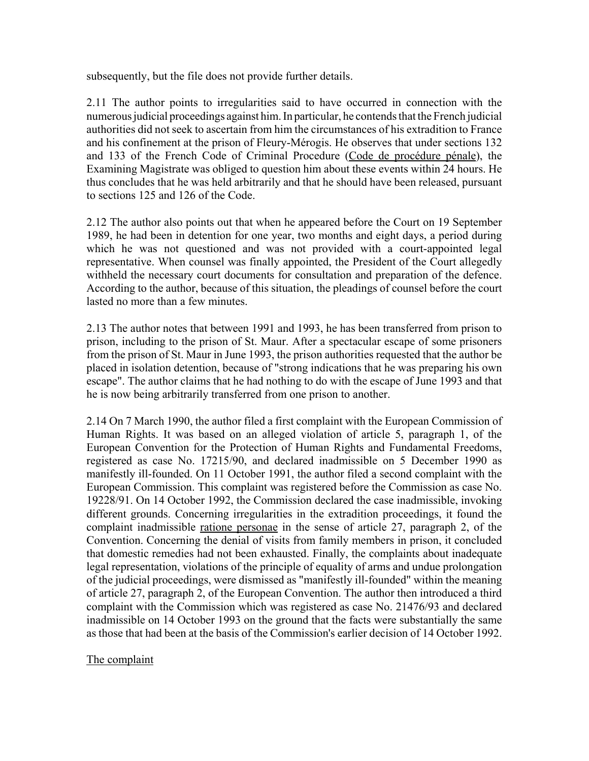subsequently, but the file does not provide further details.

2.11 The author points to irregularities said to have occurred in connection with the numerous judicial proceedings against him. In particular, he contends that the French judicial authorities did not seek to ascertain from him the circumstances of his extradition to France and his confinement at the prison of Fleury-Mérogis. He observes that under sections 132 and 133 of the French Code of Criminal Procedure (Code de procédure pénale), the Examining Magistrate was obliged to question him about these events within 24 hours. He thus concludes that he was held arbitrarily and that he should have been released, pursuant to sections 125 and 126 of the Code.

2.12 The author also points out that when he appeared before the Court on 19 September 1989, he had been in detention for one year, two months and eight days, a period during which he was not questioned and was not provided with a court-appointed legal representative. When counsel was finally appointed, the President of the Court allegedly withheld the necessary court documents for consultation and preparation of the defence. According to the author, because of this situation, the pleadings of counsel before the court lasted no more than a few minutes.

2.13 The author notes that between 1991 and 1993, he has been transferred from prison to prison, including to the prison of St. Maur. After a spectacular escape of some prisoners from the prison of St. Maur in June 1993, the prison authorities requested that the author be placed in isolation detention, because of "strong indications that he was preparing his own escape". The author claims that he had nothing to do with the escape of June 1993 and that he is now being arbitrarily transferred from one prison to another.

2.14 On 7 March 1990, the author filed a first complaint with the European Commission of Human Rights. It was based on an alleged violation of article 5, paragraph 1, of the European Convention for the Protection of Human Rights and Fundamental Freedoms, registered as case No. 17215/90, and declared inadmissible on 5 December 1990 as manifestly ill-founded. On 11 October 1991, the author filed a second complaint with the European Commission. This complaint was registered before the Commission as case No. 19228/91. On 14 October 1992, the Commission declared the case inadmissible, invoking different grounds. Concerning irregularities in the extradition proceedings, it found the complaint inadmissible ratione personae in the sense of article 27, paragraph 2, of the Convention. Concerning the denial of visits from family members in prison, it concluded that domestic remedies had not been exhausted. Finally, the complaints about inadequate legal representation, violations of the principle of equality of arms and undue prolongation of the judicial proceedings, were dismissed as "manifestly ill-founded" within the meaning of article 27, paragraph 2, of the European Convention. The author then introduced a third complaint with the Commission which was registered as case No. 21476/93 and declared inadmissible on 14 October 1993 on the ground that the facts were substantially the same as those that had been at the basis of the Commission's earlier decision of 14 October 1992.

### The complaint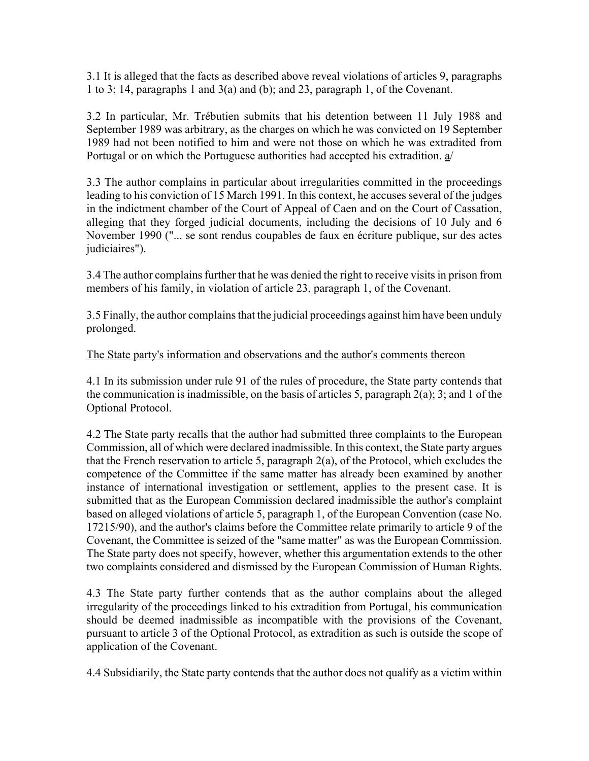3.1 It is alleged that the facts as described above reveal violations of articles 9, paragraphs 1 to 3; 14, paragraphs 1 and 3(a) and (b); and 23, paragraph 1, of the Covenant.

3.2 In particular, Mr. TrÈbutien submits that his detention between 11 July 1988 and September 1989 was arbitrary, as the charges on which he was convicted on 19 September 1989 had not been notified to him and were not those on which he was extradited from Portugal or on which the Portuguese authorities had accepted his extradition. a/

3.3 The author complains in particular about irregularities committed in the proceedings leading to his conviction of 15 March 1991. In this context, he accuses several of the judges in the indictment chamber of the Court of Appeal of Caen and on the Court of Cassation, alleging that they forged judicial documents, including the decisions of 10 July and 6 November 1990 ("... se sont rendus coupables de faux en écriture publique, sur des actes judiciaires").

3.4 The author complains further that he was denied the right to receive visits in prison from members of his family, in violation of article 23, paragraph 1, of the Covenant.

3.5 Finally, the author complains that the judicial proceedings against him have been unduly prolonged.

### The State party's information and observations and the author's comments thereon

4.1 In its submission under rule 91 of the rules of procedure, the State party contends that the communication is inadmissible, on the basis of articles 5, paragraph  $2(a)$ ; 3; and 1 of the Optional Protocol.

4.2 The State party recalls that the author had submitted three complaints to the European Commission, all of which were declared inadmissible. In this context, the State party argues that the French reservation to article 5, paragraph 2(a), of the Protocol, which excludes the competence of the Committee if the same matter has already been examined by another instance of international investigation or settlement, applies to the present case. It is submitted that as the European Commission declared inadmissible the author's complaint based on alleged violations of article 5, paragraph 1, of the European Convention (case No. 17215/90), and the author's claims before the Committee relate primarily to article 9 of the Covenant, the Committee is seized of the "same matter" as was the European Commission. The State party does not specify, however, whether this argumentation extends to the other two complaints considered and dismissed by the European Commission of Human Rights.

4.3 The State party further contends that as the author complains about the alleged irregularity of the proceedings linked to his extradition from Portugal, his communication should be deemed inadmissible as incompatible with the provisions of the Covenant, pursuant to article 3 of the Optional Protocol, as extradition as such is outside the scope of application of the Covenant.

4.4 Subsidiarily, the State party contends that the author does not qualify as a victim within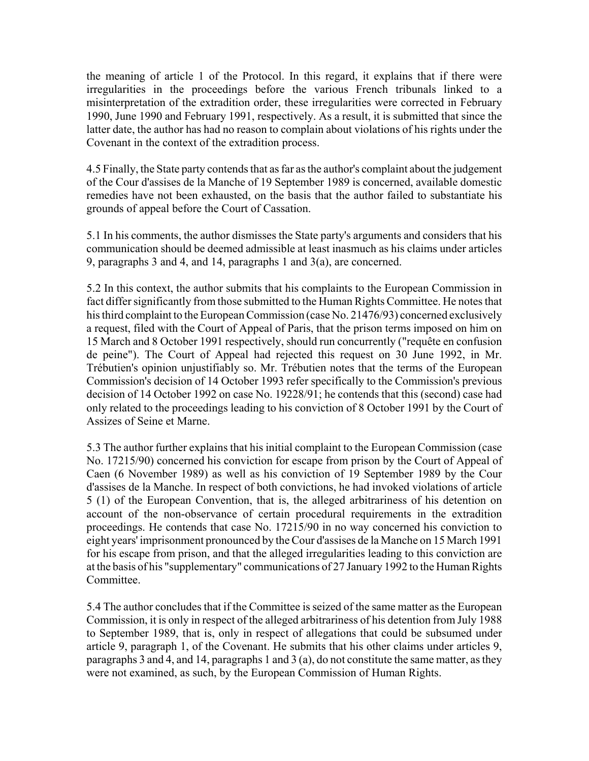the meaning of article 1 of the Protocol. In this regard, it explains that if there were irregularities in the proceedings before the various French tribunals linked to a misinterpretation of the extradition order, these irregularities were corrected in February 1990, June 1990 and February 1991, respectively. As a result, it is submitted that since the latter date, the author has had no reason to complain about violations of his rights under the Covenant in the context of the extradition process.

4.5 Finally, the State party contends that as far as the author's complaint about the judgement of the Cour d'assises de la Manche of 19 September 1989 is concerned, available domestic remedies have not been exhausted, on the basis that the author failed to substantiate his grounds of appeal before the Court of Cassation.

5.1 In his comments, the author dismisses the State party's arguments and considers that his communication should be deemed admissible at least inasmuch as his claims under articles 9, paragraphs 3 and 4, and 14, paragraphs 1 and 3(a), are concerned.

5.2 In this context, the author submits that his complaints to the European Commission in fact differ significantly from those submitted to the Human Rights Committee. He notes that his third complaint to the European Commission (case No. 21476/93) concerned exclusively a request, filed with the Court of Appeal of Paris, that the prison terms imposed on him on 15 March and 8 October 1991 respectively, should run concurrently ("requête en confusion de peine"). The Court of Appeal had rejected this request on 30 June 1992, in Mr. Trébutien's opinion unjustifiably so. Mr. Trébutien notes that the terms of the European Commission's decision of 14 October 1993 refer specifically to the Commission's previous decision of 14 October 1992 on case No. 19228/91; he contends that this (second) case had only related to the proceedings leading to his conviction of 8 October 1991 by the Court of Assizes of Seine et Marne.

5.3 The author further explains that his initial complaint to the European Commission (case No. 17215/90) concerned his conviction for escape from prison by the Court of Appeal of Caen (6 November 1989) as well as his conviction of 19 September 1989 by the Cour d'assises de la Manche. In respect of both convictions, he had invoked violations of article 5 (1) of the European Convention, that is, the alleged arbitrariness of his detention on account of the non-observance of certain procedural requirements in the extradition proceedings. He contends that case No. 17215/90 in no way concerned his conviction to eight years' imprisonment pronounced by the Cour d'assises de la Manche on 15 March 1991 for his escape from prison, and that the alleged irregularities leading to this conviction are at the basis of his "supplementary" communications of 27 January 1992 to the Human Rights Committee.

5.4 The author concludes that if the Committee is seized of the same matter as the European Commission, it is only in respect of the alleged arbitrariness of his detention from July 1988 to September 1989, that is, only in respect of allegations that could be subsumed under article 9, paragraph 1, of the Covenant. He submits that his other claims under articles 9, paragraphs 3 and 4, and 14, paragraphs 1 and 3 (a), do not constitute the same matter, as they were not examined, as such, by the European Commission of Human Rights.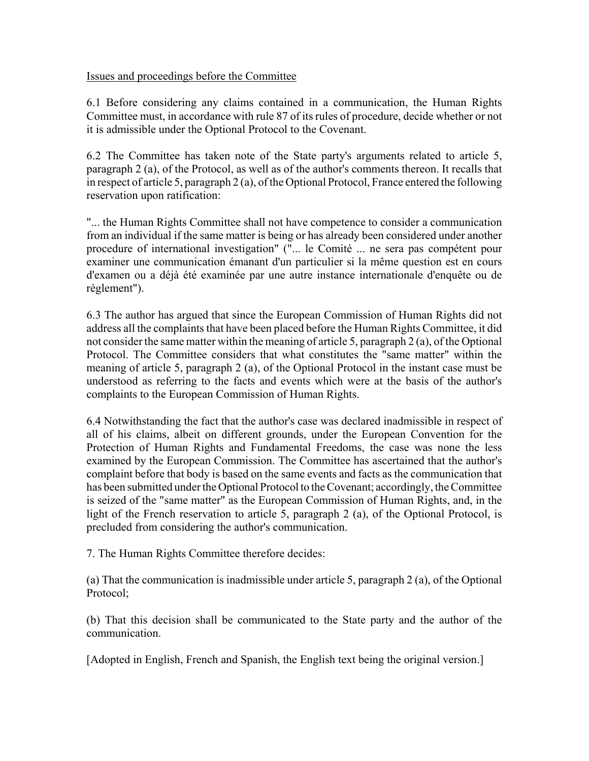### Issues and proceedings before the Committee

6.1 Before considering any claims contained in a communication, the Human Rights Committee must, in accordance with rule 87 of its rules of procedure, decide whether or not it is admissible under the Optional Protocol to the Covenant.

6.2 The Committee has taken note of the State party's arguments related to article 5, paragraph 2 (a), of the Protocol, as well as of the author's comments thereon. It recalls that in respect of article 5, paragraph 2 (a), of the Optional Protocol, France entered the following reservation upon ratification:

"... the Human Rights Committee shall not have competence to consider a communication from an individual if the same matter is being or has already been considered under another procedure of international investigation" ("... le Comité ... ne sera pas compétent pour examiner une communication émanant d'un particulier si la même question est en cours d'examen ou a déjà été examinée par une autre instance internationale d'enquête ou de règlement").

6.3 The author has argued that since the European Commission of Human Rights did not address all the complaints that have been placed before the Human Rights Committee, it did not consider the same matter within the meaning of article 5, paragraph 2 (a), of the Optional Protocol. The Committee considers that what constitutes the "same matter" within the meaning of article 5, paragraph 2 (a), of the Optional Protocol in the instant case must be understood as referring to the facts and events which were at the basis of the author's complaints to the European Commission of Human Rights.

6.4 Notwithstanding the fact that the author's case was declared inadmissible in respect of all of his claims, albeit on different grounds, under the European Convention for the Protection of Human Rights and Fundamental Freedoms, the case was none the less examined by the European Commission. The Committee has ascertained that the author's complaint before that body is based on the same events and facts as the communication that has been submitted under the Optional Protocol to the Covenant; accordingly, the Committee is seized of the "same matter" as the European Commission of Human Rights, and, in the light of the French reservation to article 5, paragraph 2 (a), of the Optional Protocol, is precluded from considering the author's communication.

7. The Human Rights Committee therefore decides:

(a) That the communication is inadmissible under article 5, paragraph 2 (a), of the Optional Protocol;

(b) That this decision shall be communicated to the State party and the author of the communication.

[Adopted in English, French and Spanish, the English text being the original version.]